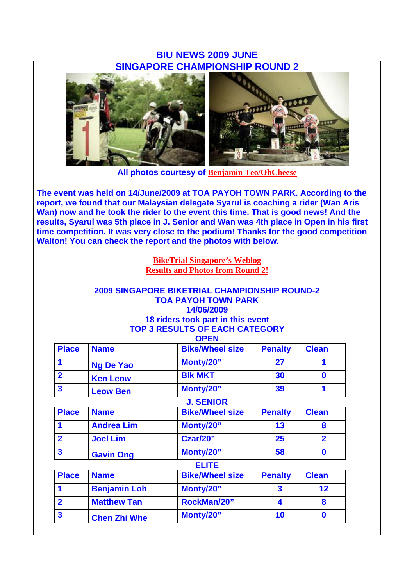## **BIU NEWS 2009 JUNE SINGAPORE CHAMPIONSHIP ROUND 2**



**All photos courtesy of Benjamin Teo/OhCheese**

**The event was held on 14/June/2009 at TOA PAYOH TOWN PARK. According to the report, we found that our Malaysian delegate Syarul is coaching a rider (Wan Aris Wan) now and he took the rider to the event this time. That is good news! And the results, Syarul was 5th place in J. Senior and Wan was 4th place in Open in his first time competition. It was very close to the podium! Thanks for the good competition Walton! You can check the report and the photos with below.** 

> **BikeTrial Singapore's Weblog Results and Photos from Round 2!**

#### **2009 SINGAPORE BIKETRIAL CHAMPIONSHIP ROUND-2 TOA PAYOH TOWN PARK 14/06/2009 18 riders took part in this event TOP 3 RESULTS OF EACH CATEGORY OPEN**

|                         |                     | UFEN                   |                         |                  |
|-------------------------|---------------------|------------------------|-------------------------|------------------|
| <b>Place</b>            | <b>Name</b>         | <b>Bike/Wheel size</b> | <b>Penalty</b>          | <b>Clean</b>     |
| 1                       | <b>Ng De Yao</b>    | Monty/20"              | 27                      | 1                |
| $\overline{2}$          | <b>Ken Leow</b>     | <b>BIK MKT</b>         | 30                      | $\mathbf 0$      |
| $\overline{\mathbf{3}}$ | <b>Leow Ben</b>     | Monty/20"              | 39                      | 1                |
|                         |                     | <b>J. SENIOR</b>       |                         |                  |
| <b>Place</b>            | <b>Name</b>         | <b>Bike/Wheel size</b> | <b>Penalty</b>          | <b>Clean</b>     |
| 1                       | <b>Andrea Lim</b>   | Monty/20"              | 13                      | 8                |
| $\overline{2}$          | <b>Joel Lim</b>     | Czar/20"               | 25                      | $\overline{2}$   |
| $\overline{\mathbf{3}}$ | <b>Gavin Ong</b>    | Monty/20"              | 58                      | $\bf{0}$         |
|                         |                     | <b>ELITE</b>           |                         |                  |
| <b>Place</b>            | <b>Name</b>         | <b>Bike/Wheel size</b> | <b>Penalty</b>          | <b>Clean</b>     |
| 1                       | <b>Benjamin Loh</b> | Monty/20"              | $\overline{\mathbf{3}}$ | 12               |
| $\overline{2}$          | <b>Matthew Tan</b>  | RockMan/20"            | 4                       | 8                |
| $\mathbf{3}$            | <b>Chen Zhi Whe</b> | Monty/20"              | 10                      | $\boldsymbol{0}$ |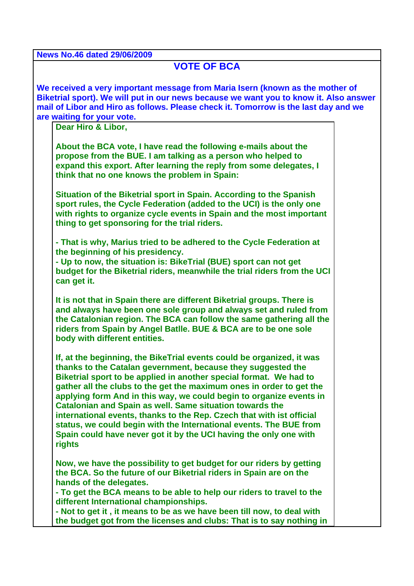**News No.46 dated 29/06/2009**

# **VOTE OF BCA**

**We received a very important message from Maria Isern (known as the mother of Biketrial sport). We will put in our news because we want you to know it. Also answer mail of Libor and Hiro as follows. Please check it. Tomorrow is the last day and we are waiting for your vote.**

**Dear Hiro & Libor,**

**About the BCA vote, I have read the following e-mails about the propose from the BUE. I am talking as a person who helped to expand this export. After learning the reply from some delegates, I think that no one knows the problem in Spain:**

**Situation of the Biketrial sport in Spain. According to the Spanish sport rules, the Cycle Federation (added to the UCI) is the only one with rights to organize cycle events in Spain and the most important thing to get sponsoring for the trial riders.**

**- That is why, Marius tried to be adhered to the Cycle Federation at the beginning of his presidency.**

**- Up to now, the situation is: BikeTrial (BUE) sport can not get budget for the Biketrial riders, meanwhile the trial riders from the UCI can get it.**

**It is not that in Spain there are different Biketrial groups. There is and always have been one sole group and always set and ruled from the Catalonian region. The BCA can follow the same gathering all the riders from Spain by Angel Batlle. BUE & BCA are to be one sole body with different entities.**

**If, at the beginning, the BikeTrial events could be organized, it was thanks to the Catalan gevernment, because they suggested the Biketrial sport to be applied in another special format. We had to gather all the clubs to the get the maximum ones in order to get the applying form And in this way, we could begin to organize events in Catalonian and Spain as well. Same situation towards the international events, thanks to the Rep. Czech that with ist official status, we could begin with the International events. The BUE from Spain could have never got it by the UCI having the only one with rights** 

**Now, we have the possibility to get budget for our riders by getting the BCA. So the future of our Biketrial riders in Spain are on the hands of the delegates.**

**- To get the BCA means to be able to help our riders to travel to the different International championships.** 

**- Not to get it , it means to be as we have been till now, to deal with the budget got from the licenses and clubs: That is to say nothing in**